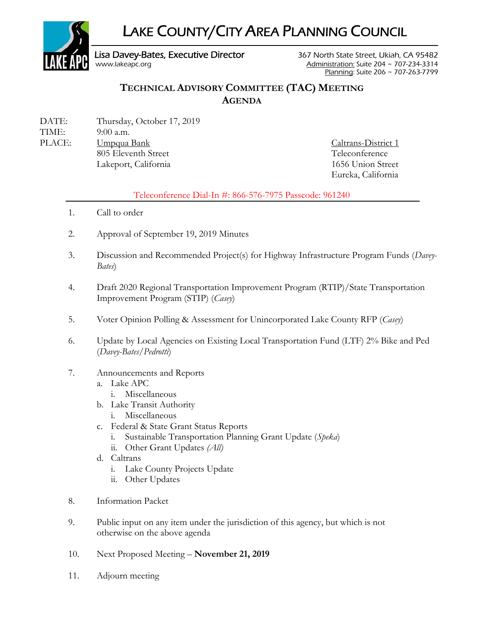

# **TECHNICAL ADVISORY COMMITTEE (TAC) MEETING AGENDA**

DATE: Thursday, October 17, 2019 TIME: 9:00 a.m. PLACE: Umpqua Bank Caltrans-District 1 805 Eleventh Street Teleconference

 Lakeport, California 1656 Union Street Eureka, California

#### Teleconference Dial-In #: 866-576-7975 Passcode: 961240

- 1. Call to order
- 2. Approval of September 19, 2019 Minutes
- 3. Discussion and Recommended Project(s) for Highway Infrastructure Program Funds (*Davey-Bates*)
- 4. Draft 2020 Regional Transportation Improvement Program (RTIP)/State Transportation Improvement Program (STIP) (*Casey*)
- 5. Voter Opinion Polling & Assessment for Unincorporated Lake County RFP (*Casey*)
- 6. Update by Local Agencies on Existing Local Transportation Fund (LTF) 2% Bike and Ped (*Davey-Bates/Pedrotti*)
- 7. Announcements and Reports
	- a. Lake APC
		- i. Miscellaneous
	- b. Lake Transit Authority
		- i. Miscellaneous
	- c. Federal & State Grant Status Reports
		- i. Sustainable Transportation Planning Grant Update (*Speka*)
		- ii. Other Grant Updates *(All)*
	- d. Caltrans
		- i. Lake County Projects Update
		- ii. Other Updates
- 8. Information Packet
- 9. Public input on any item under the jurisdiction of this agency, but which is not otherwise on the above agenda
- 10. Next Proposed Meeting **November 21, 2019**
- 11. Adjourn meeting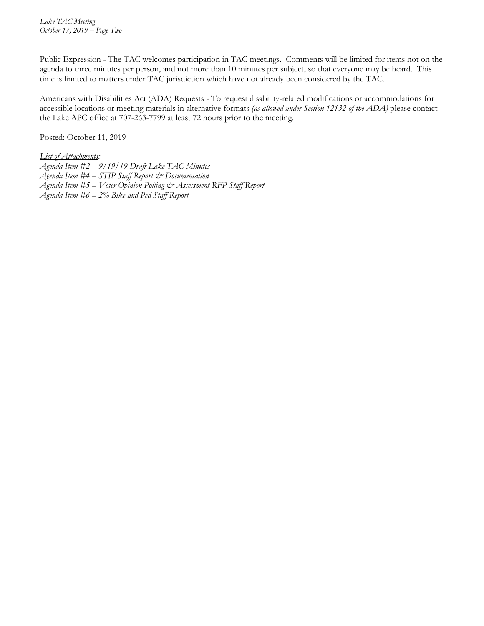Public Expression - The TAC welcomes participation in TAC meetings. Comments will be limited for items not on the agenda to three minutes per person, and not more than 10 minutes per subject, so that everyone may be heard. This time is limited to matters under TAC jurisdiction which have not already been considered by the TAC.

Americans with Disabilities Act (ADA) Requests - To request disability-related modifications or accommodations for accessible locations or meeting materials in alternative formats *(as allowed under Section 12132 of the ADA)* please contact the Lake APC office at 707-263-7799 at least 72 hours prior to the meeting.

Posted: October 11, 2019

*List of Attachments:* 

- *Agenda Item #2 9/19/19 Draft Lake TAC Minutes*
- *Agenda Item #4 STIP Staff Report & Documentation*
- *Agenda Item #5 Voter Opinion Polling & Assessment RFP Staff Report*
- *Agenda Item #6 2% Bike and Ped Staff Report*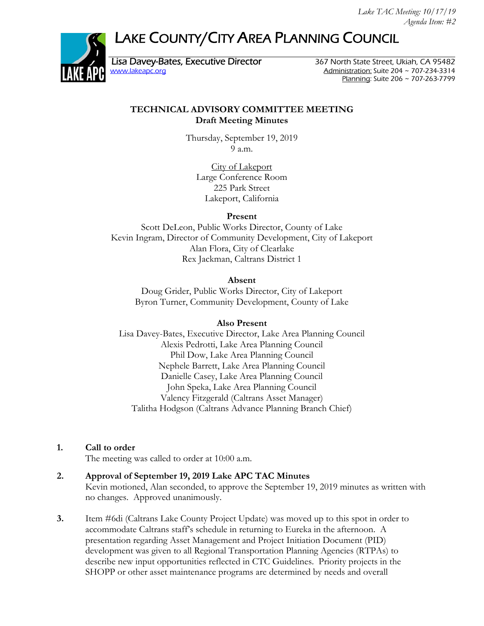# LAKE COUNTY/CITY AREA PLANNING COUNCIL



Lisa Davey-Bates, Executive Director 367 North State Street, Ukiah, CA 95482<br>Administration: Suite 204 ~ 707-234-3314 Administration: Suite 204  $\sim$  707-234-3314 Planning: Suite 206 ~ 707-263-7799

#### **TECHNICAL ADVISORY COMMITTEE MEETING Draft Meeting Minutes**

Thursday, September 19, 2019 9 a.m.

> City of Lakeport Large Conference Room 225 Park Street Lakeport, California

#### **Present**

Scott DeLeon, Public Works Director, County of Lake Kevin Ingram, Director of Community Development, City of Lakeport Alan Flora, City of Clearlake Rex Jackman, Caltrans District 1

#### **Absent**

Doug Grider, Public Works Director, City of Lakeport Byron Turner, Community Development, County of Lake

#### **Also Present**

Lisa Davey-Bates, Executive Director, Lake Area Planning Council Alexis Pedrotti, Lake Area Planning Council Phil Dow, Lake Area Planning Council Nephele Barrett, Lake Area Planning Council Danielle Casey, Lake Area Planning Council John Speka, Lake Area Planning Council Valency Fitzgerald (Caltrans Asset Manager) Talitha Hodgson (Caltrans Advance Planning Branch Chief)

#### **1. Call to order**

The meeting was called to order at 10:00 a.m.

# **2. Approval of September 19, 2019 Lake APC TAC Minutes**

Kevin motioned, Alan seconded, to approve the September 19, 2019 minutes as written with no changes. Approved unanimously.

**3.** Item #6di (Caltrans Lake County Project Update) was moved up to this spot in order to accommodate Caltrans staff's schedule in returning to Eureka in the afternoon. A presentation regarding Asset Management and Project Initiation Document (PID) development was given to all Regional Transportation Planning Agencies (RTPAs) to describe new input opportunities reflected in CTC Guidelines. Priority projects in the SHOPP or other asset maintenance programs are determined by needs and overall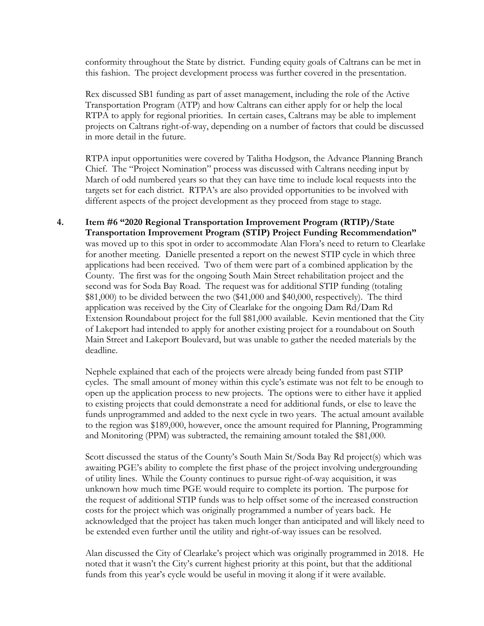conformity throughout the State by district. Funding equity goals of Caltrans can be met in this fashion. The project development process was further covered in the presentation.

Rex discussed SB1 funding as part of asset management, including the role of the Active Transportation Program (ATP) and how Caltrans can either apply for or help the local RTPA to apply for regional priorities. In certain cases, Caltrans may be able to implement projects on Caltrans right-of-way, depending on a number of factors that could be discussed in more detail in the future.

RTPA input opportunities were covered by Talitha Hodgson, the Advance Planning Branch Chief. The "Project Nomination" process was discussed with Caltrans needing input by March of odd numbered years so that they can have time to include local requests into the targets set for each district. RTPA's are also provided opportunities to be involved with different aspects of the project development as they proceed from stage to stage.

**4. Item #6 "2020 Regional Transportation Improvement Program (RTIP)/State Transportation Improvement Program (STIP) Project Funding Recommendation"**  was moved up to this spot in order to accommodate Alan Flora's need to return to Clearlake for another meeting. Danielle presented a report on the newest STIP cycle in which three applications had been received. Two of them were part of a combined application by the County. The first was for the ongoing South Main Street rehabilitation project and the second was for Soda Bay Road. The request was for additional STIP funding (totaling \$81,000) to be divided between the two (\$41,000 and \$40,000, respectively). The third application was received by the City of Clearlake for the ongoing Dam Rd/Dam Rd Extension Roundabout project for the full \$81,000 available. Kevin mentioned that the City of Lakeport had intended to apply for another existing project for a roundabout on South Main Street and Lakeport Boulevard, but was unable to gather the needed materials by the deadline.

 Nephele explained that each of the projects were already being funded from past STIP cycles. The small amount of money within this cycle's estimate was not felt to be enough to open up the application process to new projects. The options were to either have it applied to existing projects that could demonstrate a need for additional funds, or else to leave the funds unprogrammed and added to the next cycle in two years. The actual amount available to the region was \$189,000, however, once the amount required for Planning, Programming and Monitoring (PPM) was subtracted, the remaining amount totaled the \$81,000.

 Scott discussed the status of the County's South Main St/Soda Bay Rd project(s) which was awaiting PGE's ability to complete the first phase of the project involving undergrounding of utility lines. While the County continues to pursue right-of-way acquisition, it was unknown how much time PGE would require to complete its portion. The purpose for the request of additional STIP funds was to help offset some of the increased construction costs for the project which was originally programmed a number of years back. He acknowledged that the project has taken much longer than anticipated and will likely need to be extended even further until the utility and right-of-way issues can be resolved.

 Alan discussed the City of Clearlake's project which was originally programmed in 2018. He noted that it wasn't the City's current highest priority at this point, but that the additional funds from this year's cycle would be useful in moving it along if it were available.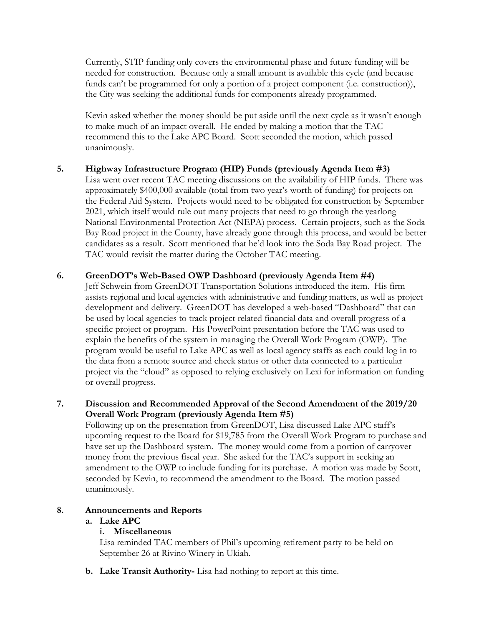Currently, STIP funding only covers the environmental phase and future funding will be needed for construction. Because only a small amount is available this cycle (and because funds can't be programmed for only a portion of a project component (i.e. construction)), the City was seeking the additional funds for components already programmed.

 Kevin asked whether the money should be put aside until the next cycle as it wasn't enough to make much of an impact overall. He ended by making a motion that the TAC recommend this to the Lake APC Board. Scott seconded the motion, which passed unanimously.

**5. Highway Infrastructure Program (HIP) Funds (previously Agenda Item #3)**

Lisa went over recent TAC meeting discussions on the availability of HIP funds. There was approximately \$400,000 available (total from two year's worth of funding) for projects on the Federal Aid System. Projects would need to be obligated for construction by September 2021, which itself would rule out many projects that need to go through the yearlong National Environmental Protection Act (NEPA) process. Certain projects, such as the Soda Bay Road project in the County, have already gone through this process, and would be better candidates as a result. Scott mentioned that he'd look into the Soda Bay Road project. The TAC would revisit the matter during the October TAC meeting.

#### **6. GreenDOT's Web-Based OWP Dashboard (previously Agenda Item #4)**

Jeff Schwein from GreenDOT Transportation Solutions introduced the item. His firm assists regional and local agencies with administrative and funding matters, as well as project development and delivery. GreenDOT has developed a web-based "Dashboard" that can be used by local agencies to track project related financial data and overall progress of a specific project or program. His PowerPoint presentation before the TAC was used to explain the benefits of the system in managing the Overall Work Program (OWP). The program would be useful to Lake APC as well as local agency staffs as each could log in to the data from a remote source and check status or other data connected to a particular project via the "cloud" as opposed to relying exclusively on Lexi for information on funding or overall progress.

#### **7. Discussion and Recommended Approval of the Second Amendment of the 2019/20 Overall Work Program (previously Agenda Item #5)**

Following up on the presentation from GreenDOT, Lisa discussed Lake APC staff's upcoming request to the Board for \$19,785 from the Overall Work Program to purchase and have set up the Dashboard system. The money would come from a portion of carryover money from the previous fiscal year. She asked for the TAC's support in seeking an amendment to the OWP to include funding for its purchase. A motion was made by Scott, seconded by Kevin, to recommend the amendment to the Board. The motion passed unanimously.

#### **8. Announcements and Reports**

#### **a. Lake APC**

#### **i. Miscellaneous**

Lisa reminded TAC members of Phil's upcoming retirement party to be held on September 26 at Rivino Winery in Ukiah.

**b. Lake Transit Authority-** Lisa had nothing to report at this time.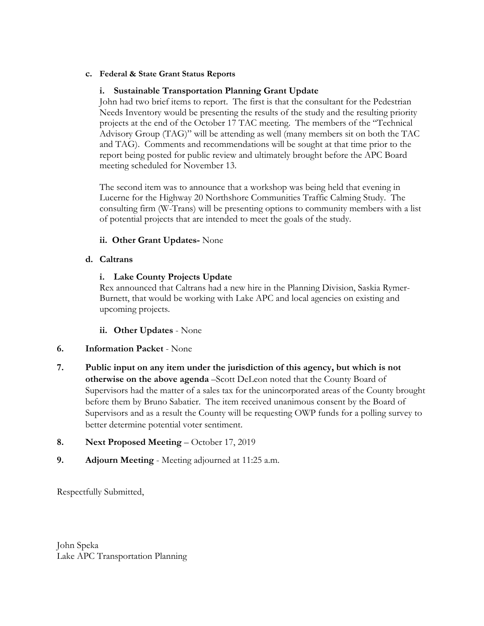#### **c. Federal & State Grant Status Reports**

#### **i. Sustainable Transportation Planning Grant Update**

John had two brief items to report. The first is that the consultant for the Pedestrian Needs Inventory would be presenting the results of the study and the resulting priority projects at the end of the October 17 TAC meeting. The members of the "Technical Advisory Group (TAG)" will be attending as well (many members sit on both the TAC and TAG). Comments and recommendations will be sought at that time prior to the report being posted for public review and ultimately brought before the APC Board meeting scheduled for November 13.

The second item was to announce that a workshop was being held that evening in Lucerne for the Highway 20 Northshore Communities Traffic Calming Study. The consulting firm (W-Trans) will be presenting options to community members with a list of potential projects that are intended to meet the goals of the study.

#### **ii. Other Grant Updates-** None

#### **d. Caltrans**

## **i. Lake County Projects Update**

Rex announced that Caltrans had a new hire in the Planning Division, Saskia Rymer-Burnett, that would be working with Lake APC and local agencies on existing and upcoming projects.

#### **ii. Other Updates** - None

#### **6. Information Packet** - None

**7. Public input on any item under the jurisdiction of this agency, but which is not otherwise on the above agenda** –Scott DeLeon noted that the County Board of Supervisors had the matter of a sales tax for the unincorporated areas of the County brought before them by Bruno Sabatier. The item received unanimous consent by the Board of Supervisors and as a result the County will be requesting OWP funds for a polling survey to better determine potential voter sentiment.

## **8. Next Proposed Meeting** – October 17, 2019

**9. Adjourn Meeting** - Meeting adjourned at 11:25 a.m.

Respectfully Submitted,

John Speka Lake APC Transportation Planning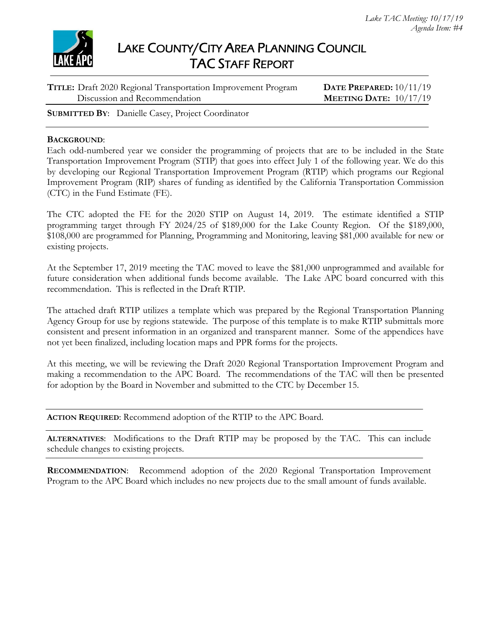

# LAKE COUNTY/CITY AREA PLANNING COUNCIL TAC STAFF REPORT

| TITLE: Draft 2020 Regional Transportation Improvement Program | DATE PREPARED: $10/11/19$       |
|---------------------------------------------------------------|---------------------------------|
| Discussion and Recommendation                                 | <b>MEETING DATE:</b> $10/17/19$ |
|                                                               |                                 |

**SUBMITTED BY**: Danielle Casey, Project Coordinator

#### **BACKGROUND**:

Each odd-numbered year we consider the programming of projects that are to be included in the State Transportation Improvement Program (STIP) that goes into effect July 1 of the following year. We do this by developing our Regional Transportation Improvement Program (RTIP) which programs our Regional Improvement Program (RIP) shares of funding as identified by the California Transportation Commission (CTC) in the Fund Estimate (FE).

The CTC adopted the FE for the 2020 STIP on August 14, 2019. The estimate identified a STIP programming target through FY 2024/25 of \$189,000 for the Lake County Region. Of the \$189,000, \$108,000 are programmed for Planning, Programming and Monitoring, leaving \$81,000 available for new or existing projects.

At the September 17, 2019 meeting the TAC moved to leave the \$81,000 unprogrammed and available for future consideration when additional funds become available. The Lake APC board concurred with this recommendation. This is reflected in the Draft RTIP.

The attached draft RTIP utilizes a template which was prepared by the Regional Transportation Planning Agency Group for use by regions statewide. The purpose of this template is to make RTIP submittals more consistent and present information in an organized and transparent manner. Some of the appendices have not yet been finalized, including location maps and PPR forms for the projects.

At this meeting, we will be reviewing the Draft 2020 Regional Transportation Improvement Program and making a recommendation to the APC Board. The recommendations of the TAC will then be presented for adoption by the Board in November and submitted to the CTC by December 15.

**ACTION REQUIRED**: Recommend adoption of the RTIP to the APC Board.

**ALTERNATIVES**: Modifications to the Draft RTIP may be proposed by the TAC. This can include schedule changes to existing projects.

**RECOMMENDATION**: Recommend adoption of the 2020 Regional Transportation Improvement Program to the APC Board which includes no new projects due to the small amount of funds available.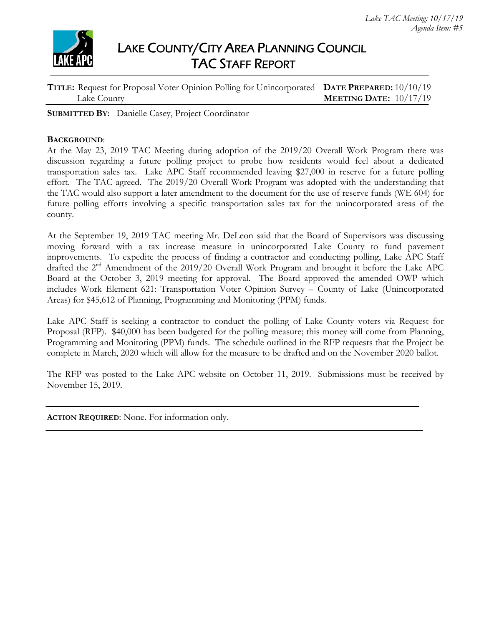

# LAKE COUNTY/CITY AREA PLANNING COUNCIL TAC STAFF REPORT

| TITLE: Request for Proposal Voter Opinion Polling for Unincorporated DATE PREPARED: 10/10/19 |                                 |
|----------------------------------------------------------------------------------------------|---------------------------------|
| Lake County                                                                                  | <b>MEETING DATE:</b> $10/17/19$ |

**SUBMITTED BY**: Danielle Casey, Project Coordinator

#### **BACKGROUND**:

At the May 23, 2019 TAC Meeting during adoption of the 2019/20 Overall Work Program there was discussion regarding a future polling project to probe how residents would feel about a dedicated transportation sales tax. Lake APC Staff recommended leaving \$27,000 in reserve for a future polling effort. The TAC agreed. The 2019/20 Overall Work Program was adopted with the understanding that the TAC would also support a later amendment to the document for the use of reserve funds (WE 604) for future polling efforts involving a specific transportation sales tax for the unincorporated areas of the county.

At the September 19, 2019 TAC meeting Mr. DeLeon said that the Board of Supervisors was discussing moving forward with a tax increase measure in unincorporated Lake County to fund pavement improvements. To expedite the process of finding a contractor and conducting polling, Lake APC Staff drafted the 2<sup>nd</sup> Amendment of the 2019/20 Overall Work Program and brought it before the Lake APC Board at the October 3, 2019 meeting for approval. The Board approved the amended OWP which includes Work Element 621: Transportation Voter Opinion Survey – County of Lake (Unincorporated Areas) for \$45,612 of Planning, Programming and Monitoring (PPM) funds.

Lake APC Staff is seeking a contractor to conduct the polling of Lake County voters via Request for Proposal (RFP). \$40,000 has been budgeted for the polling measure; this money will come from Planning, Programming and Monitoring (PPM) funds. The schedule outlined in the RFP requests that the Project be complete in March, 2020 which will allow for the measure to be drafted and on the November 2020 ballot.

The RFP was posted to the Lake APC website on October 11, 2019. Submissions must be received by November 15, 2019.

**ACTION REQUIRED**: None. For information only.